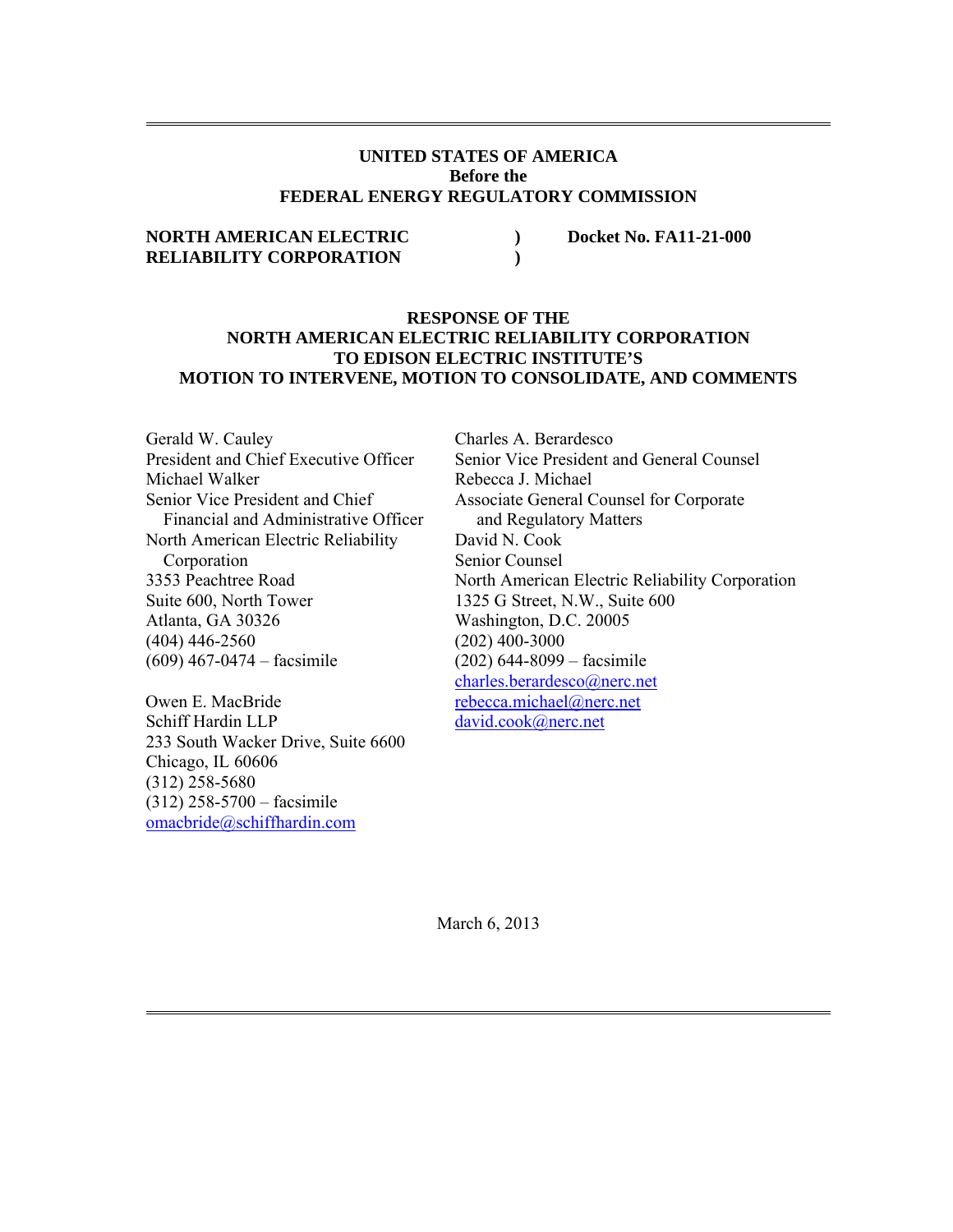## **UNITED STATES OF AMERICA Before the FEDERAL ENERGY REGULATORY COMMISSION**

## **NORTH AMERICAN ELECTRIC**  $\rule{1em}{0.15mm}$  Docket No. FA11-21-000 **RELIABILITY CORPORATION )**

## **RESPONSE OF THE NORTH AMERICAN ELECTRIC RELIABILITY CORPORATION TO EDISON ELECTRIC INSTITUTE'S MOTION TO INTERVENE, MOTION TO CONSOLIDATE, AND COMMENTS**

Gerald W. Cauley President and Chief Executive Officer Michael Walker Senior Vice President and Chief Financial and Administrative Officer North American Electric Reliability Corporation 3353 Peachtree Road Suite 600, North Tower Atlanta, GA 30326 (404) 446-2560 (609) 467-0474 – facsimile

Owen E. MacBride Schiff Hardin LLP 233 South Wacker Drive, Suite 6600 Chicago, IL 60606 (312) 258-5680 (312) 258-5700 – facsimile omacbride@schiffhardin.com

Charles A. Berardesco Senior Vice President and General Counsel Rebecca J. Michael Associate General Counsel for Corporate and Regulatory Matters David N. Cook Senior Counsel North American Electric Reliability Corporation 1325 G Street, N.W., Suite 600 Washington, D.C. 20005 (202) 400-3000 (202) 644-8099 – facsimile charles.berardesco@nerc.net rebecca.michael@nerc.net david.cook@nerc.net

March 6, 2013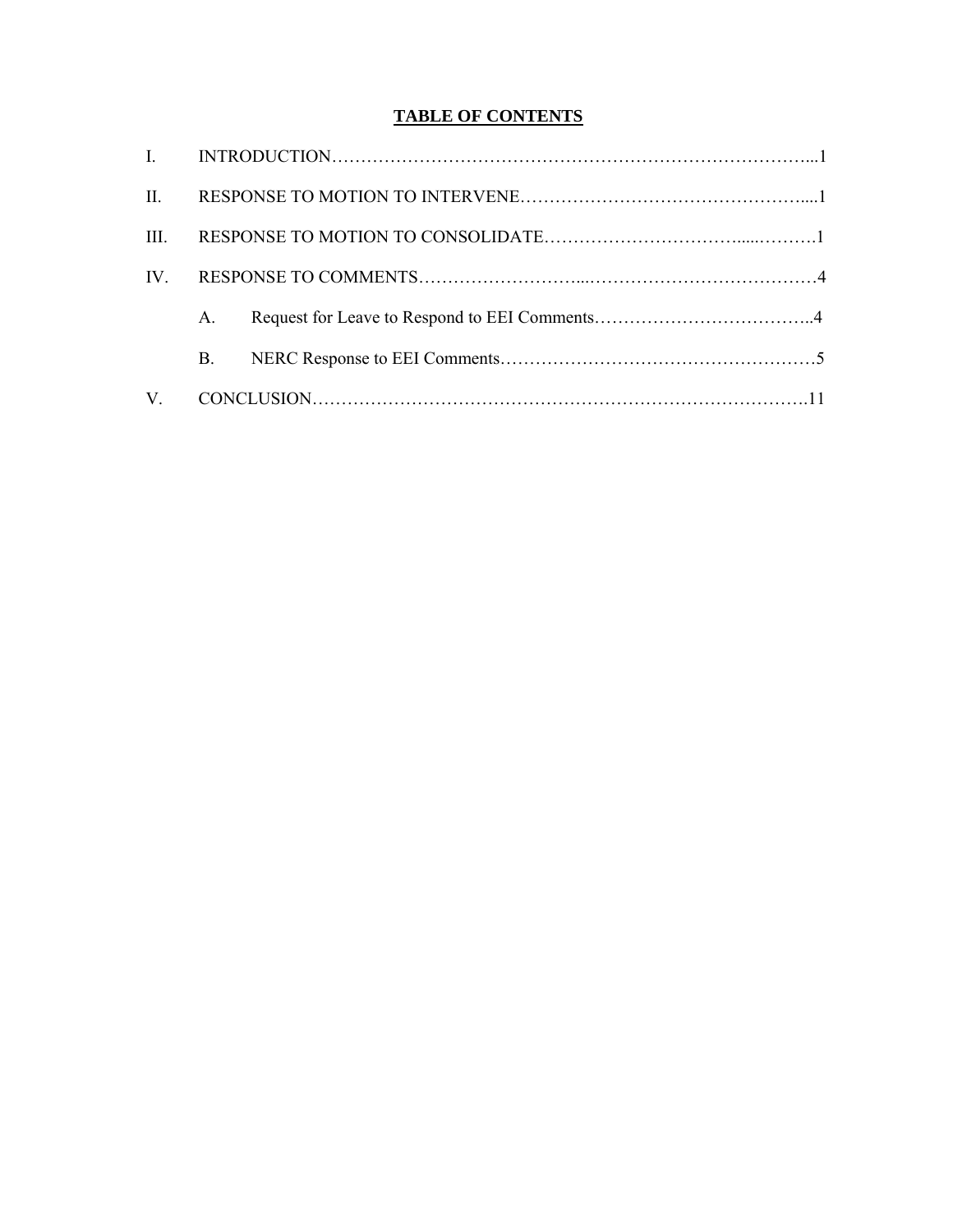# **TABLE OF CONTENTS**

| II.         |            |  |
|-------------|------------|--|
| HH -        |            |  |
| IV          |            |  |
|             | $A_{-}$    |  |
|             | <b>B</b> . |  |
| $V_{\cdot}$ |            |  |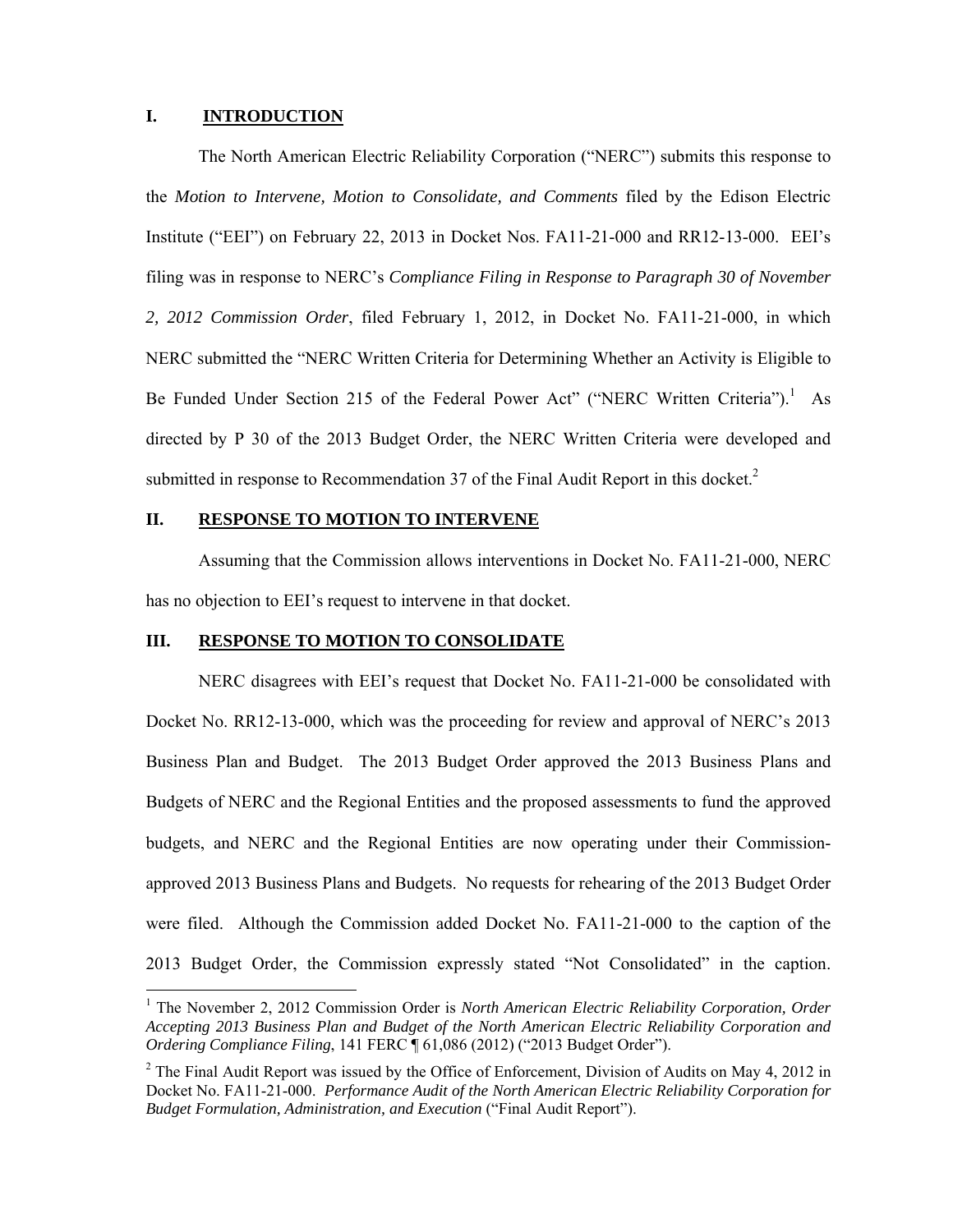#### **I. INTRODUCTION**

-

 The North American Electric Reliability Corporation ("NERC") submits this response to the *Motion to Intervene, Motion to Consolidate, and Comments* filed by the Edison Electric Institute ("EEI") on February 22, 2013 in Docket Nos. FA11-21-000 and RR12-13-000. EEI's filing was in response to NERC's *Compliance Filing in Response to Paragraph 30 of November 2, 2012 Commission Order*, filed February 1, 2012, in Docket No. FA11-21-000, in which NERC submitted the "NERC Written Criteria for Determining Whether an Activity is Eligible to Be Funded Under Section 215 of the Federal Power Act" ("NERC Written Criteria").<sup>1</sup> As directed by P 30 of the 2013 Budget Order, the NERC Written Criteria were developed and submitted in response to Recommendation 37 of the Final Audit Report in this docket.<sup>2</sup>

#### **II. RESPONSE TO MOTION TO INTERVENE**

Assuming that the Commission allows interventions in Docket No. FA11-21-000, NERC has no objection to EEI's request to intervene in that docket.

#### **III. RESPONSE TO MOTION TO CONSOLIDATE**

 NERC disagrees with EEI's request that Docket No. FA11-21-000 be consolidated with Docket No. RR12-13-000, which was the proceeding for review and approval of NERC's 2013 Business Plan and Budget. The 2013 Budget Order approved the 2013 Business Plans and Budgets of NERC and the Regional Entities and the proposed assessments to fund the approved budgets, and NERC and the Regional Entities are now operating under their Commissionapproved 2013 Business Plans and Budgets. No requests for rehearing of the 2013 Budget Order were filed. Although the Commission added Docket No. FA11-21-000 to the caption of the 2013 Budget Order, the Commission expressly stated "Not Consolidated" in the caption.

<sup>&</sup>lt;sup>1</sup> The November 2, 2012 Commission Order is *North American Electric Reliability Corporation, Order Accepting 2013 Business Plan and Budget of the North American Electric Reliability Corporation and Ordering Compliance Filing*, 141 FERC ¶ 61,086 (2012) ("2013 Budget Order").

 $2$  The Final Audit Report was issued by the Office of Enforcement, Division of Audits on May 4, 2012 in Docket No. FA11-21-000. *Performance Audit of the North American Electric Reliability Corporation for Budget Formulation, Administration, and Execution* ("Final Audit Report").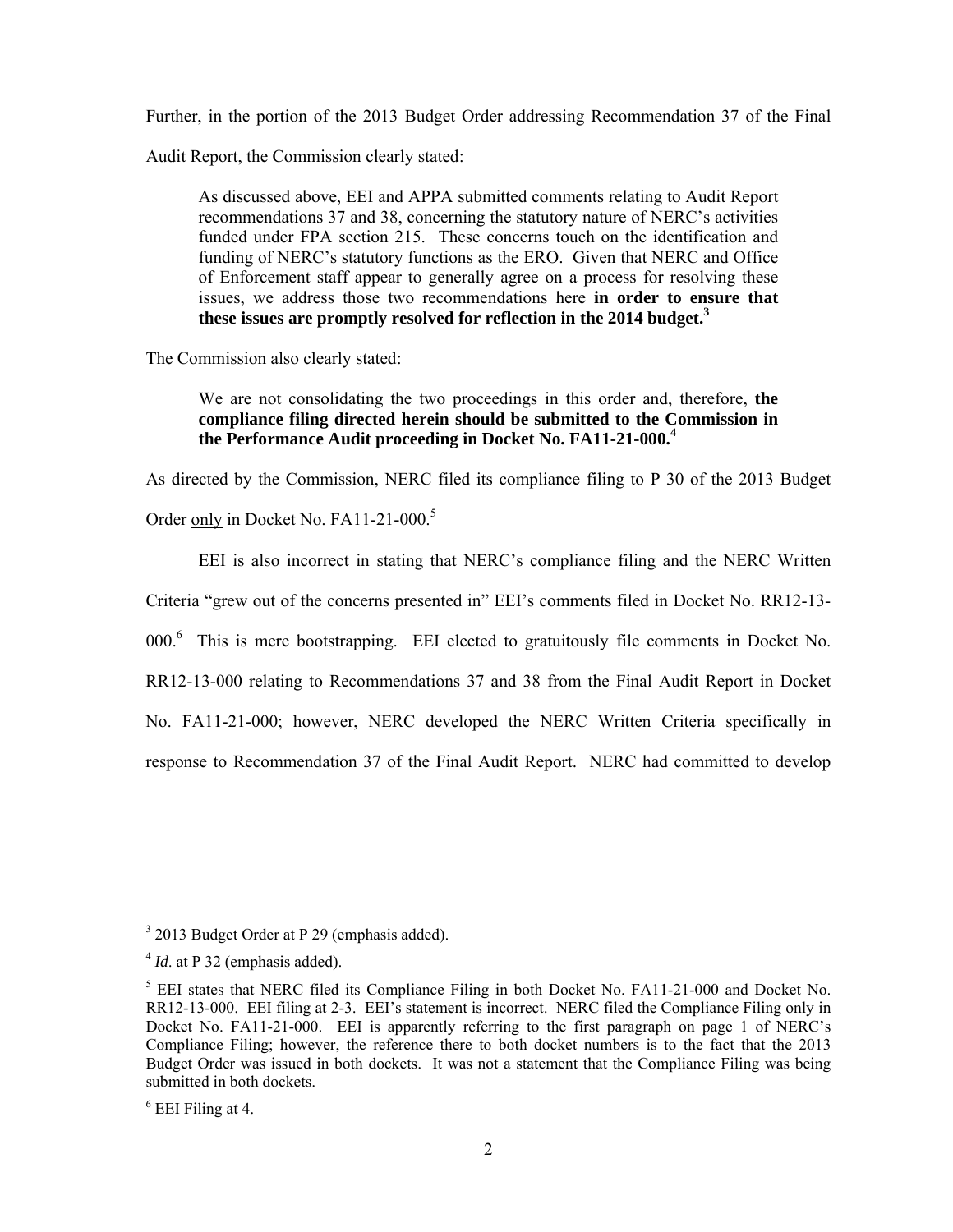Further, in the portion of the 2013 Budget Order addressing Recommendation 37 of the Final

Audit Report, the Commission clearly stated:

As discussed above, EEI and APPA submitted comments relating to Audit Report recommendations 37 and 38, concerning the statutory nature of NERC's activities funded under FPA section 215. These concerns touch on the identification and funding of NERC's statutory functions as the ERO. Given that NERC and Office of Enforcement staff appear to generally agree on a process for resolving these issues, we address those two recommendations here **in order to ensure that these issues are promptly resolved for reflection in the 2014 budget.3**

The Commission also clearly stated:

## We are not consolidating the two proceedings in this order and, therefore, **the compliance filing directed herein should be submitted to the Commission in the Performance Audit proceeding in Docket No. FA11-21-000.4**

As directed by the Commission, NERC filed its compliance filing to P 30 of the 2013 Budget

Order only in Docket No. FA11-21-000.<sup>5</sup>

EEI is also incorrect in stating that NERC's compliance filing and the NERC Written

Criteria "grew out of the concerns presented in" EEI's comments filed in Docket No. RR12-13-

000.<sup>6</sup> This is mere bootstrapping. EEI elected to gratuitously file comments in Docket No.

RR12-13-000 relating to Recommendations 37 and 38 from the Final Audit Report in Docket

No. FA11-21-000; however, NERC developed the NERC Written Criteria specifically in

response to Recommendation 37 of the Final Audit Report. NERC had committed to develop

<sup>&</sup>lt;sup>3</sup> 2013 Budget Order at P 29 (emphasis added).

<sup>4</sup> *Id*. at P 32 (emphasis added).

<sup>&</sup>lt;sup>5</sup> EEI states that NERC filed its Compliance Filing in both Docket No. FA11-21-000 and Docket No. RR12-13-000. EEI filing at 2-3. EEI's statement is incorrect. NERC filed the Compliance Filing only in Docket No. FA11-21-000. EEI is apparently referring to the first paragraph on page 1 of NERC's Compliance Filing; however, the reference there to both docket numbers is to the fact that the 2013 Budget Order was issued in both dockets. It was not a statement that the Compliance Filing was being submitted in both dockets.

 $6$  EEI Filing at 4.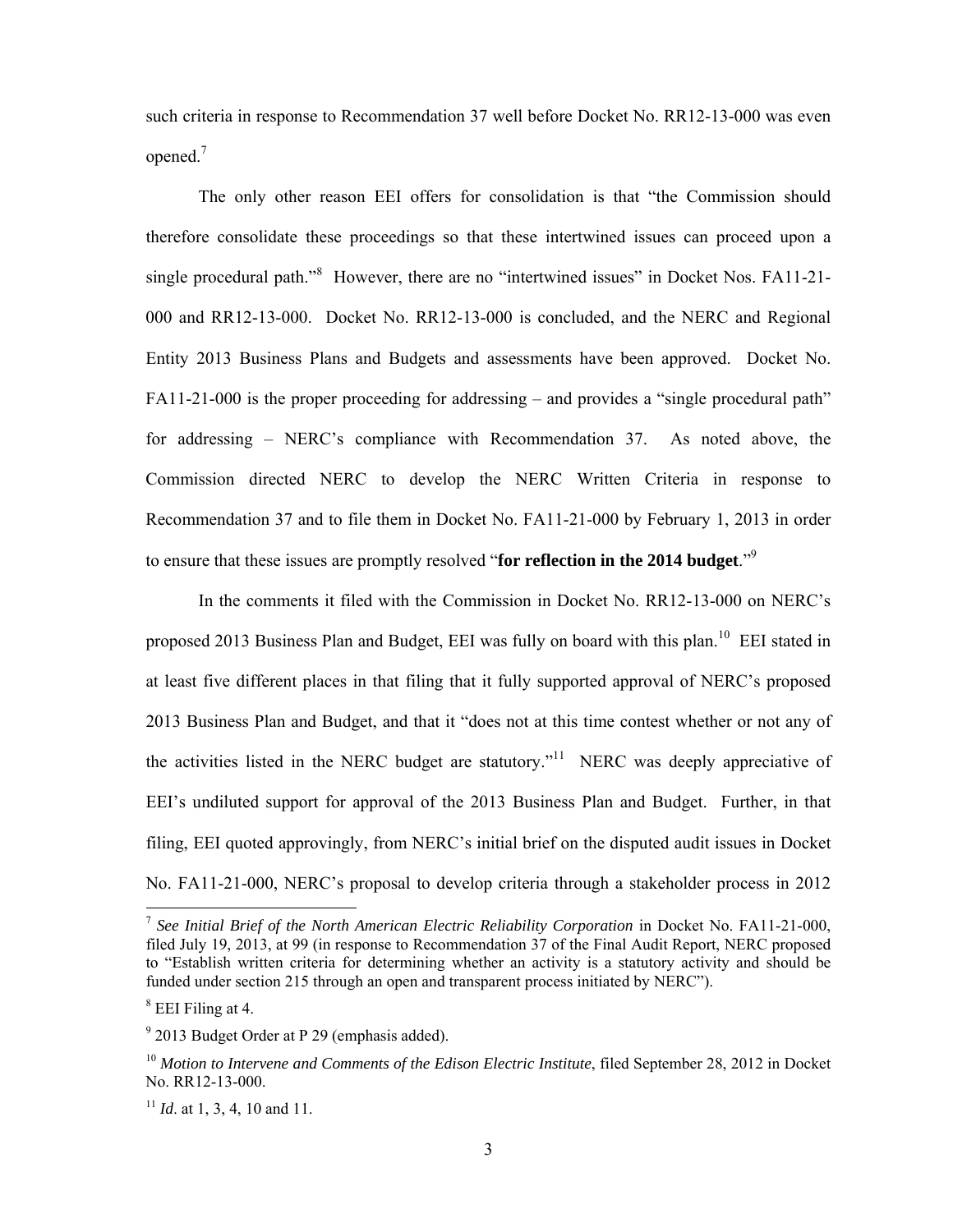such criteria in response to Recommendation 37 well before Docket No. RR12-13-000 was even opened.<sup>7</sup>

 The only other reason EEI offers for consolidation is that "the Commission should therefore consolidate these proceedings so that these intertwined issues can proceed upon a single procedural path."<sup>8</sup> However, there are no "intertwined issues" in Docket Nos. FA11-21-000 and RR12-13-000. Docket No. RR12-13-000 is concluded, and the NERC and Regional Entity 2013 Business Plans and Budgets and assessments have been approved. Docket No. FA11-21-000 is the proper proceeding for addressing – and provides a "single procedural path" for addressing – NERC's compliance with Recommendation 37. As noted above, the Commission directed NERC to develop the NERC Written Criteria in response to Recommendation 37 and to file them in Docket No. FA11-21-000 by February 1, 2013 in order to ensure that these issues are promptly resolved "**for reflection in the 2014 budget**."9

 In the comments it filed with the Commission in Docket No. RR12-13-000 on NERC's proposed 2013 Business Plan and Budget, EEI was fully on board with this plan.<sup>10</sup> EEI stated in at least five different places in that filing that it fully supported approval of NERC's proposed 2013 Business Plan and Budget, and that it "does not at this time contest whether or not any of the activities listed in the NERC budget are statutory."<sup>11</sup> NERC was deeply appreciative of EEI's undiluted support for approval of the 2013 Business Plan and Budget. Further, in that filing, EEI quoted approvingly, from NERC's initial brief on the disputed audit issues in Docket No. FA11-21-000, NERC's proposal to develop criteria through a stakeholder process in 2012

<sup>7</sup> *See Initial Brief of the North American Electric Reliability Corporation* in Docket No. FA11-21-000, filed July 19, 2013, at 99 (in response to Recommendation 37 of the Final Audit Report, NERC proposed to "Establish written criteria for determining whether an activity is a statutory activity and should be funded under section 215 through an open and transparent process initiated by NERC").

<sup>8</sup> EEI Filing at 4.

<sup>&</sup>lt;sup>9</sup> 2013 Budget Order at P 29 (emphasis added).

<sup>&</sup>lt;sup>10</sup> Motion to Intervene and Comments of the Edison Electric Institute, filed September 28, 2012 in Docket No. RR12-13-000.

<sup>&</sup>lt;sup>11</sup> *Id.* at 1, 3, 4, 10 and 11.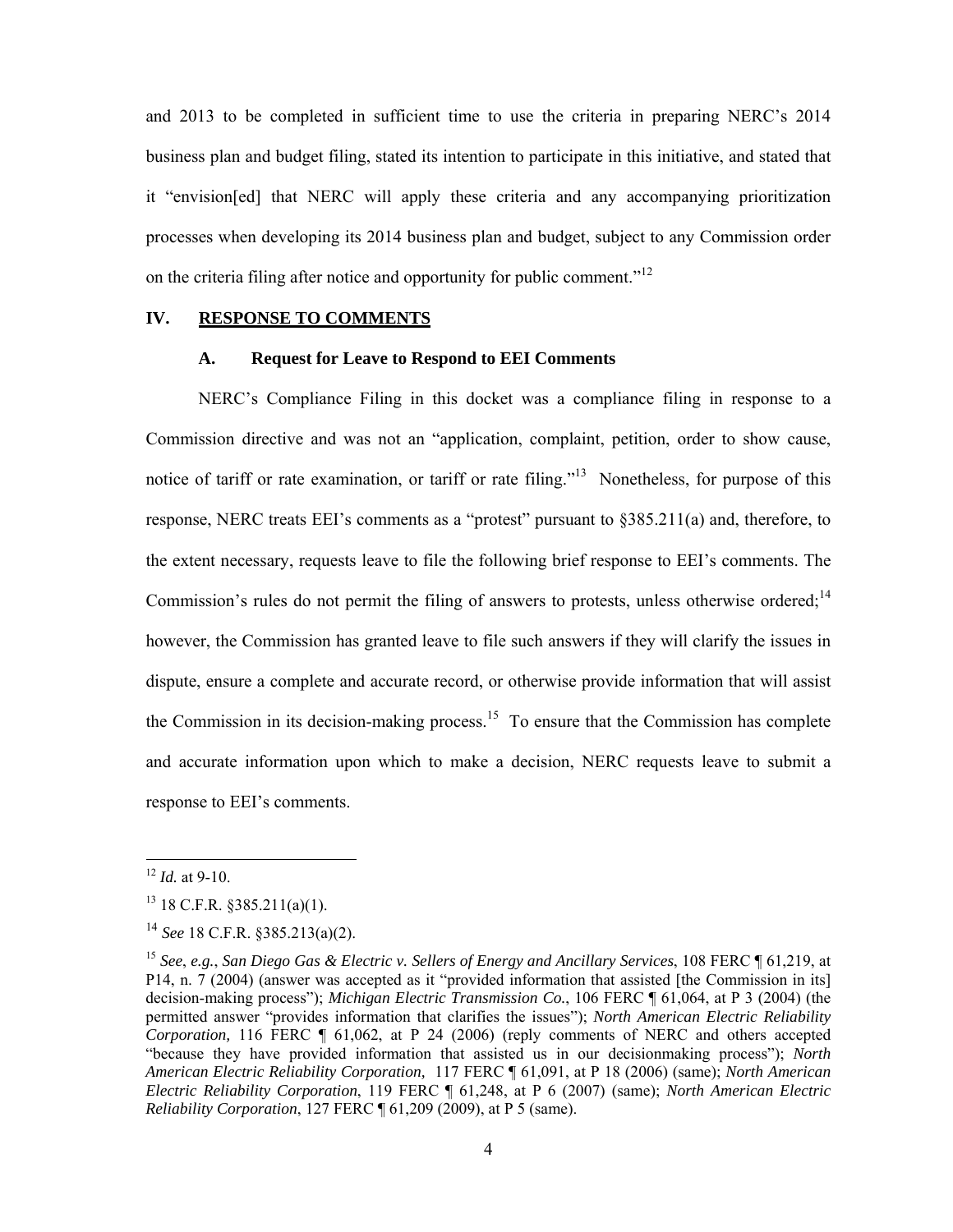and 2013 to be completed in sufficient time to use the criteria in preparing NERC's 2014 business plan and budget filing, stated its intention to participate in this initiative, and stated that it "envision[ed] that NERC will apply these criteria and any accompanying prioritization processes when developing its 2014 business plan and budget, subject to any Commission order on the criteria filing after notice and opportunity for public comment."<sup>12</sup>

#### **IV. RESPONSE TO COMMENTS**

## **A. Request for Leave to Respond to EEI Comments**

 NERC's Compliance Filing in this docket was a compliance filing in response to a Commission directive and was not an "application, complaint, petition, order to show cause, notice of tariff or rate examination, or tariff or rate filing."<sup>13</sup> Nonetheless, for purpose of this response, NERC treats EEI's comments as a "protest" pursuant to §385.211(a) and, therefore, to the extent necessary, requests leave to file the following brief response to EEI's comments. The Commission's rules do not permit the filing of answers to protests, unless otherwise ordered; $^{14}$ however, the Commission has granted leave to file such answers if they will clarify the issues in dispute, ensure a complete and accurate record, or otherwise provide information that will assist the Commission in its decision-making process.<sup>15</sup> To ensure that the Commission has complete and accurate information upon which to make a decision, NERC requests leave to submit a response to EEI's comments.

 $12$  *Id.* at 9-10.

 $13$  18 C.F.R. §385.211(a)(1).

<sup>14</sup> *See* 18 C.F.R. §385.213(a)(2).

<sup>15</sup> *See*, *e.g.*, *San Diego Gas & Electric v. Sellers of Energy and Ancillary Services*, 108 FERC ¶ 61,219, at P14, n. 7 (2004) (answer was accepted as it "provided information that assisted [the Commission in its] decision-making process"); *Michigan Electric Transmission Co.*, 106 FERC ¶ 61,064, at P 3 (2004) (the permitted answer "provides information that clarifies the issues"); *North American Electric Reliability Corporation,* 116 FERC ¶ 61,062, at P 24 (2006) (reply comments of NERC and others accepted "because they have provided information that assisted us in our decisionmaking process"); *North American Electric Reliability Corporation,* 117 FERC ¶ 61,091, at P 18 (2006) (same); *North American Electric Reliability Corporation*, 119 FERC ¶ 61,248, at P 6 (2007) (same); *North American Electric Reliability Corporation*, 127 FERC ¶ 61,209 (2009), at P 5 (same).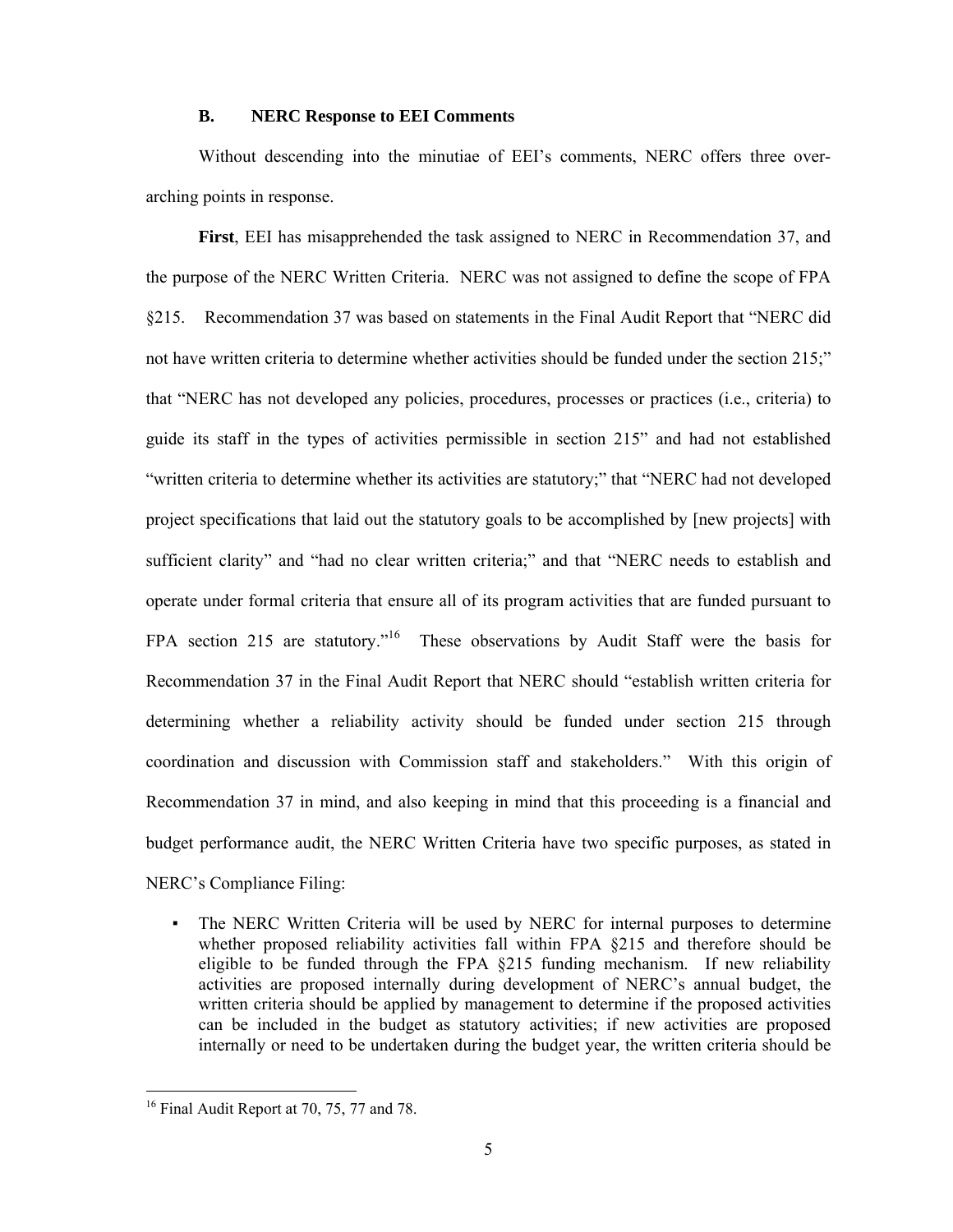#### **B. NERC Response to EEI Comments**

 Without descending into the minutiae of EEI's comments, NERC offers three overarching points in response.

**First**, EEI has misapprehended the task assigned to NERC in Recommendation 37, and the purpose of the NERC Written Criteria. NERC was not assigned to define the scope of FPA §215. Recommendation 37 was based on statements in the Final Audit Report that "NERC did not have written criteria to determine whether activities should be funded under the section 215;" that "NERC has not developed any policies, procedures, processes or practices (i.e., criteria) to guide its staff in the types of activities permissible in section 215" and had not established "written criteria to determine whether its activities are statutory;" that "NERC had not developed project specifications that laid out the statutory goals to be accomplished by [new projects] with sufficient clarity" and "had no clear written criteria;" and that "NERC needs to establish and operate under formal criteria that ensure all of its program activities that are funded pursuant to FPA section 215 are statutory."<sup>16</sup> These observations by Audit Staff were the basis for Recommendation 37 in the Final Audit Report that NERC should "establish written criteria for determining whether a reliability activity should be funded under section 215 through coordination and discussion with Commission staff and stakeholders." With this origin of Recommendation 37 in mind, and also keeping in mind that this proceeding is a financial and budget performance audit, the NERC Written Criteria have two specific purposes, as stated in NERC's Compliance Filing:

▪ The NERC Written Criteria will be used by NERC for internal purposes to determine whether proposed reliability activities fall within FPA  $\S$ 215 and therefore should be eligible to be funded through the FPA §215 funding mechanism. If new reliability activities are proposed internally during development of NERC's annual budget, the written criteria should be applied by management to determine if the proposed activities can be included in the budget as statutory activities; if new activities are proposed internally or need to be undertaken during the budget year, the written criteria should be

 $16$  Final Audit Report at 70, 75, 77 and 78.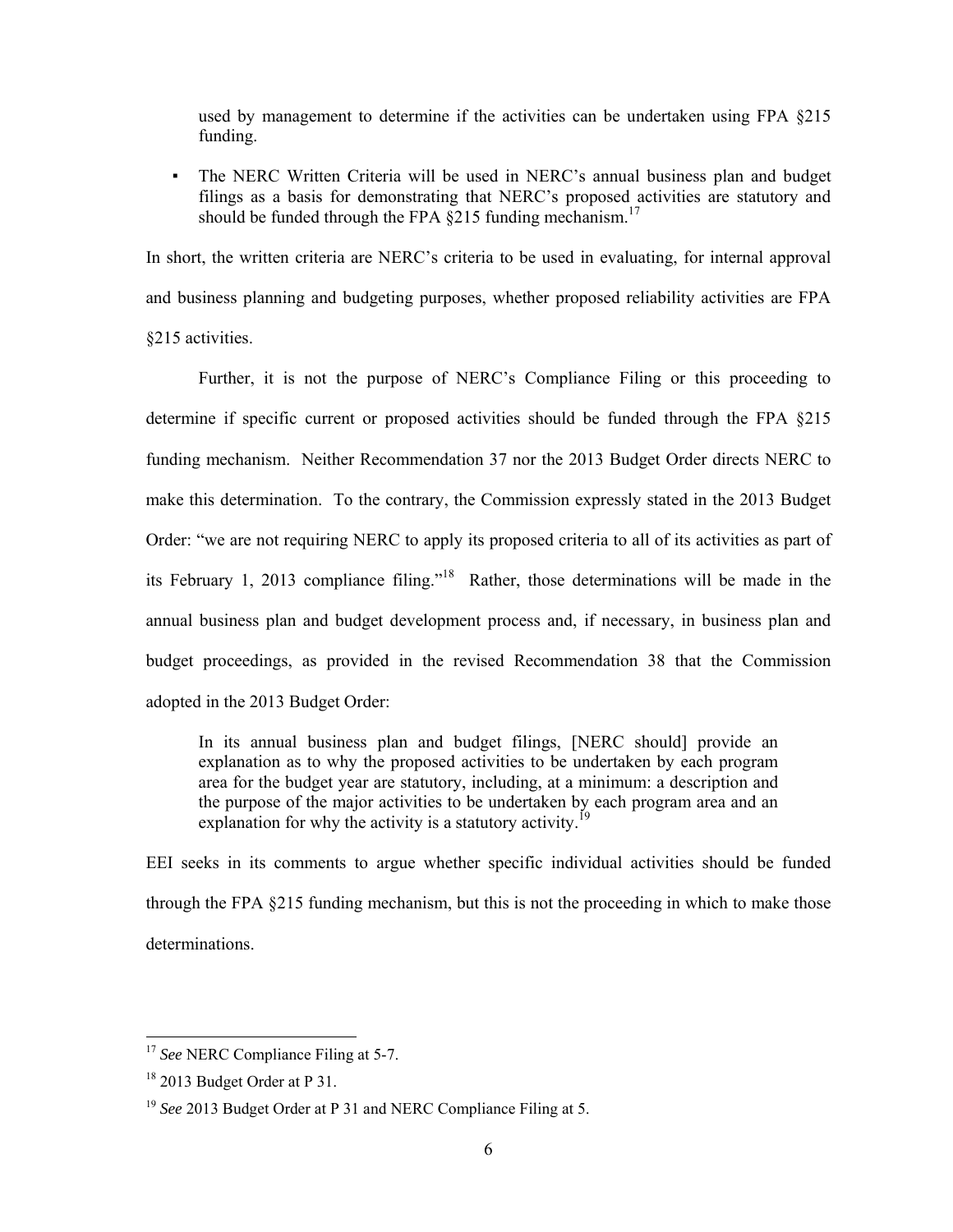used by management to determine if the activities can be undertaken using FPA §215 funding.

▪ The NERC Written Criteria will be used in NERC's annual business plan and budget filings as a basis for demonstrating that NERC's proposed activities are statutory and should be funded through the FPA  $\S$ 215 funding mechanism.<sup>17</sup>

In short, the written criteria are NERC's criteria to be used in evaluating, for internal approval and business planning and budgeting purposes, whether proposed reliability activities are FPA §215 activities.

 Further, it is not the purpose of NERC's Compliance Filing or this proceeding to determine if specific current or proposed activities should be funded through the FPA §215 funding mechanism. Neither Recommendation 37 nor the 2013 Budget Order directs NERC to make this determination. To the contrary, the Commission expressly stated in the 2013 Budget Order: "we are not requiring NERC to apply its proposed criteria to all of its activities as part of its February 1, 2013 compliance filing."18 Rather, those determinations will be made in the annual business plan and budget development process and, if necessary, in business plan and budget proceedings, as provided in the revised Recommendation 38 that the Commission adopted in the 2013 Budget Order:

In its annual business plan and budget filings, [NERC should] provide an explanation as to why the proposed activities to be undertaken by each program area for the budget year are statutory, including, at a minimum: a description and the purpose of the major activities to be undertaken by each program area and an explanation for why the activity is a statutory activity.<sup>19</sup>

EEI seeks in its comments to argue whether specific individual activities should be funded through the FPA §215 funding mechanism, but this is not the proceeding in which to make those determinations.

<sup>&</sup>lt;sup>17</sup> See NERC Compliance Filing at 5-7.

<sup>&</sup>lt;sup>18</sup> 2013 Budget Order at P 31.

<sup>19</sup> *See* 2013 Budget Order at P 31 and NERC Compliance Filing at 5.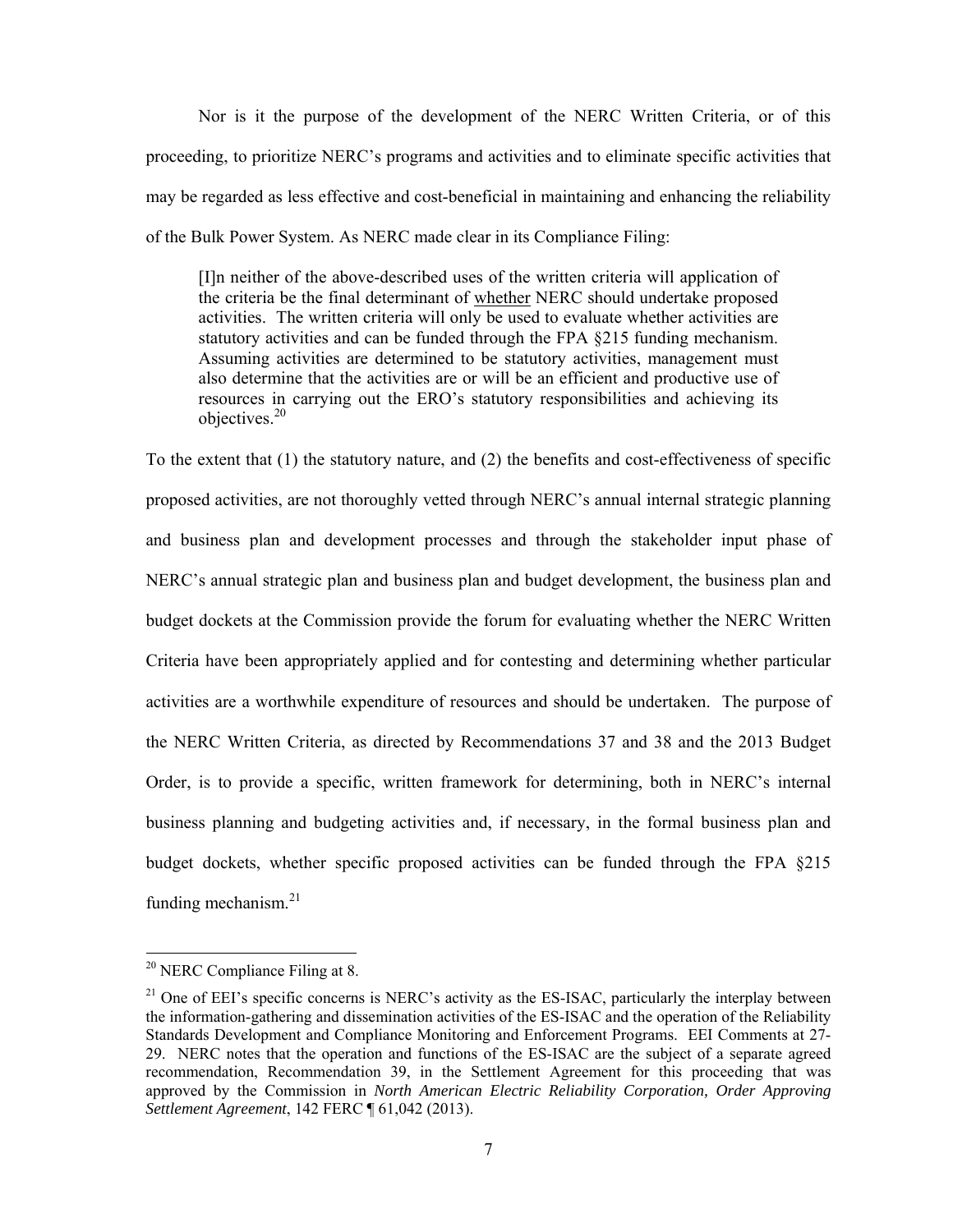Nor is it the purpose of the development of the NERC Written Criteria, or of this proceeding, to prioritize NERC's programs and activities and to eliminate specific activities that may be regarded as less effective and cost-beneficial in maintaining and enhancing the reliability of the Bulk Power System. As NERC made clear in its Compliance Filing:

[I]n neither of the above-described uses of the written criteria will application of the criteria be the final determinant of whether NERC should undertake proposed activities. The written criteria will only be used to evaluate whether activities are statutory activities and can be funded through the FPA §215 funding mechanism. Assuming activities are determined to be statutory activities, management must also determine that the activities are or will be an efficient and productive use of resources in carrying out the ERO's statutory responsibilities and achieving its objectives.20

To the extent that (1) the statutory nature, and (2) the benefits and cost-effectiveness of specific proposed activities, are not thoroughly vetted through NERC's annual internal strategic planning and business plan and development processes and through the stakeholder input phase of NERC's annual strategic plan and business plan and budget development, the business plan and budget dockets at the Commission provide the forum for evaluating whether the NERC Written Criteria have been appropriately applied and for contesting and determining whether particular activities are a worthwhile expenditure of resources and should be undertaken. The purpose of the NERC Written Criteria, as directed by Recommendations 37 and 38 and the 2013 Budget Order, is to provide a specific, written framework for determining, both in NERC's internal business planning and budgeting activities and, if necessary, in the formal business plan and budget dockets, whether specific proposed activities can be funded through the FPA §215 funding mechanism.<sup>21</sup>

 $20$  NERC Compliance Filing at 8.

<sup>&</sup>lt;sup>21</sup> One of EEI's specific concerns is NERC's activity as the ES-ISAC, particularly the interplay between the information-gathering and dissemination activities of the ES-ISAC and the operation of the Reliability Standards Development and Compliance Monitoring and Enforcement Programs. EEI Comments at 27- 29. NERC notes that the operation and functions of the ES-ISAC are the subject of a separate agreed recommendation, Recommendation 39, in the Settlement Agreement for this proceeding that was approved by the Commission in *North American Electric Reliability Corporation, Order Approving Settlement Agreement*, 142 FERC ¶ 61,042 (2013).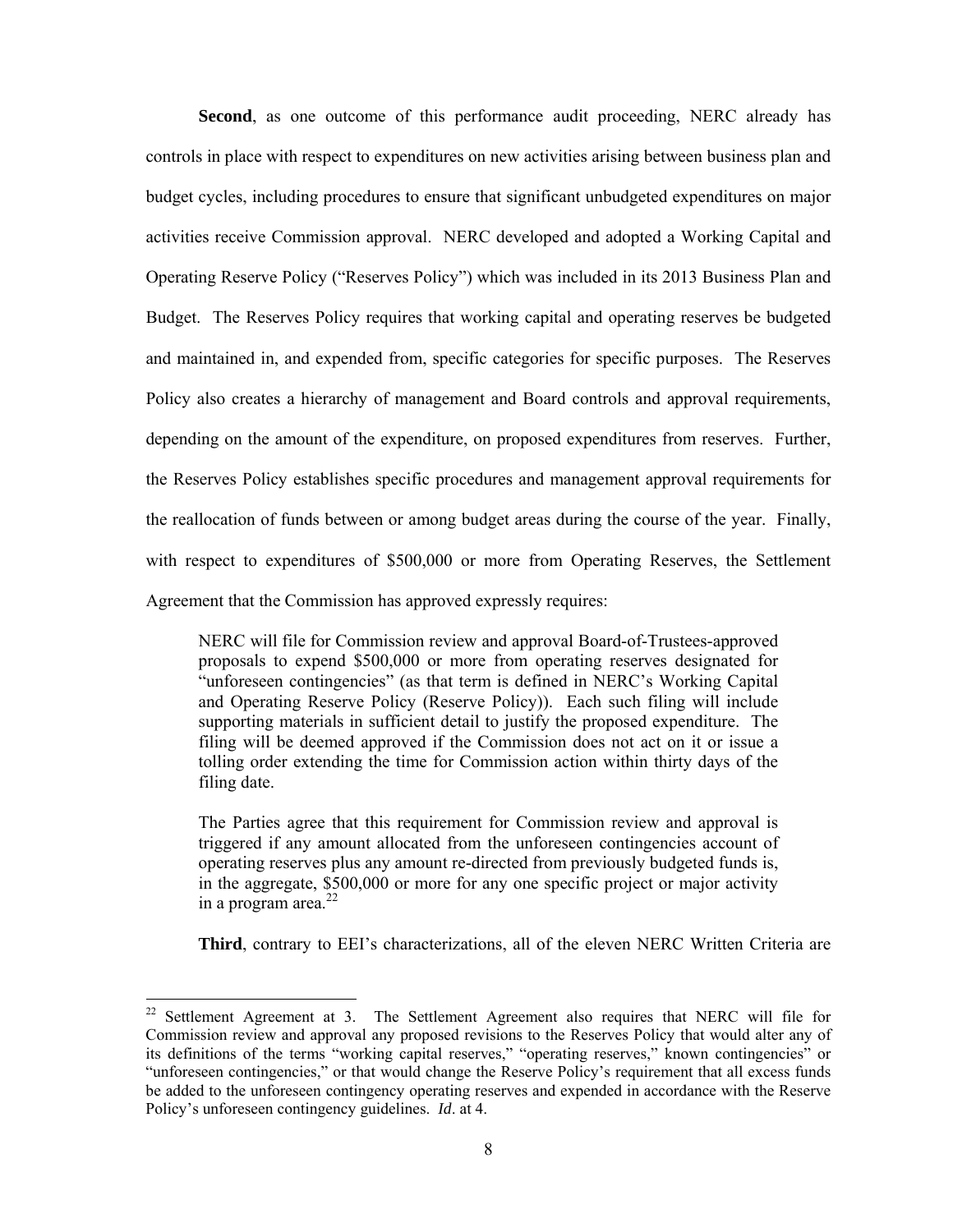**Second**, as one outcome of this performance audit proceeding, NERC already has controls in place with respect to expenditures on new activities arising between business plan and budget cycles, including procedures to ensure that significant unbudgeted expenditures on major activities receive Commission approval. NERC developed and adopted a Working Capital and Operating Reserve Policy ("Reserves Policy") which was included in its 2013 Business Plan and Budget. The Reserves Policy requires that working capital and operating reserves be budgeted and maintained in, and expended from, specific categories for specific purposes. The Reserves Policy also creates a hierarchy of management and Board controls and approval requirements, depending on the amount of the expenditure, on proposed expenditures from reserves. Further, the Reserves Policy establishes specific procedures and management approval requirements for the reallocation of funds between or among budget areas during the course of the year. Finally, with respect to expenditures of \$500,000 or more from Operating Reserves, the Settlement Agreement that the Commission has approved expressly requires:

NERC will file for Commission review and approval Board-of-Trustees-approved proposals to expend \$500,000 or more from operating reserves designated for "unforeseen contingencies" (as that term is defined in NERC's Working Capital and Operating Reserve Policy (Reserve Policy)). Each such filing will include supporting materials in sufficient detail to justify the proposed expenditure. The filing will be deemed approved if the Commission does not act on it or issue a tolling order extending the time for Commission action within thirty days of the filing date.

The Parties agree that this requirement for Commission review and approval is triggered if any amount allocated from the unforeseen contingencies account of operating reserves plus any amount re-directed from previously budgeted funds is, in the aggregate, \$500,000 or more for any one specific project or major activity in a program area. $^{22}$ 

**Third**, contrary to EEI's characterizations, all of the eleven NERC Written Criteria are

 $22$  Settlement Agreement at 3. The Settlement Agreement also requires that NERC will file for Commission review and approval any proposed revisions to the Reserves Policy that would alter any of its definitions of the terms "working capital reserves," "operating reserves," known contingencies" or "unforeseen contingencies," or that would change the Reserve Policy's requirement that all excess funds be added to the unforeseen contingency operating reserves and expended in accordance with the Reserve Policy's unforeseen contingency guidelines. *Id*. at 4.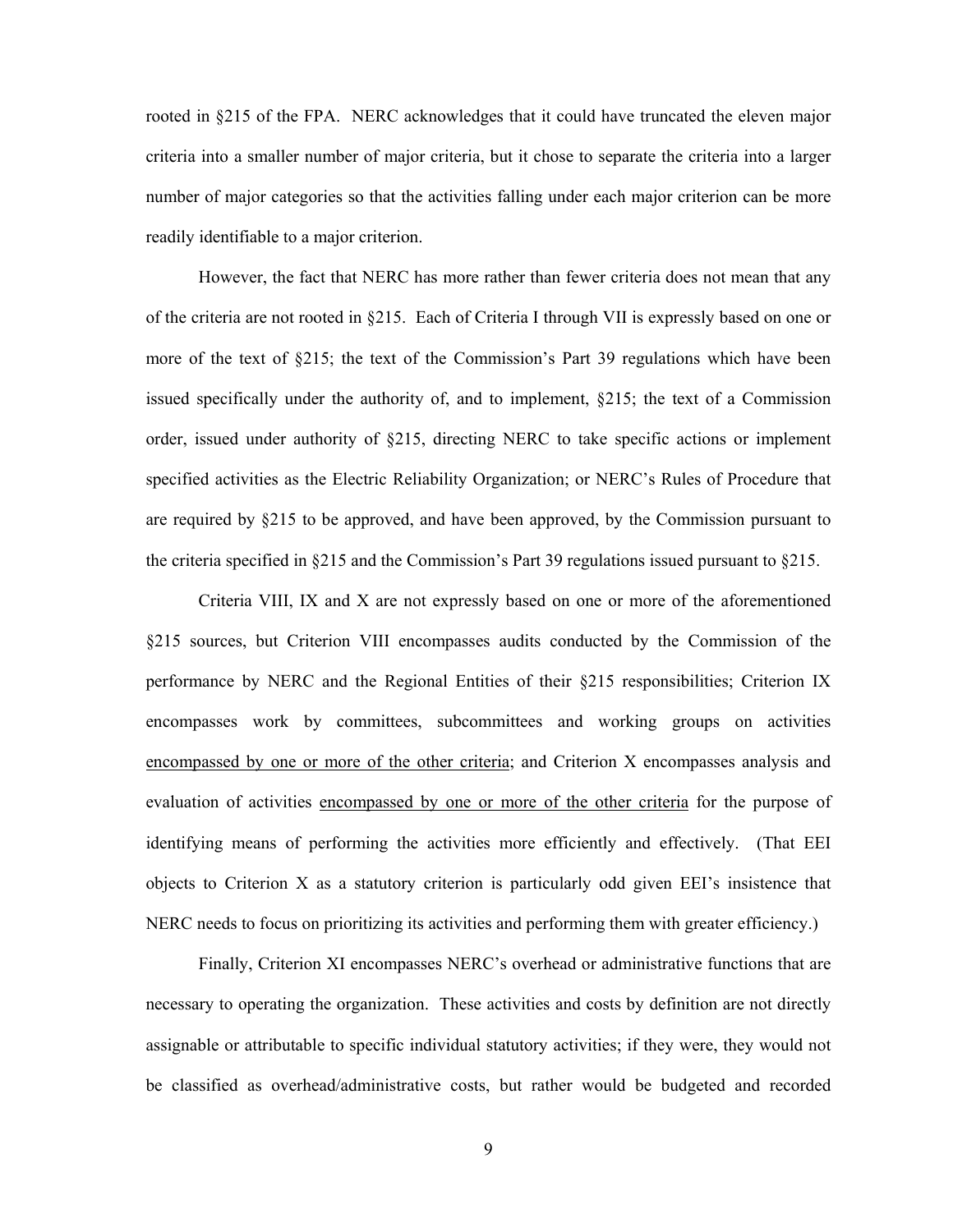rooted in §215 of the FPA. NERC acknowledges that it could have truncated the eleven major criteria into a smaller number of major criteria, but it chose to separate the criteria into a larger number of major categories so that the activities falling under each major criterion can be more readily identifiable to a major criterion.

 However, the fact that NERC has more rather than fewer criteria does not mean that any of the criteria are not rooted in §215. Each of Criteria I through VII is expressly based on one or more of the text of §215; the text of the Commission's Part 39 regulations which have been issued specifically under the authority of, and to implement, §215; the text of a Commission order, issued under authority of §215, directing NERC to take specific actions or implement specified activities as the Electric Reliability Organization; or NERC's Rules of Procedure that are required by §215 to be approved, and have been approved, by the Commission pursuant to the criteria specified in  $\S215$  and the Commission's Part 39 regulations issued pursuant to  $\S215$ .

 Criteria VIII, IX and X are not expressly based on one or more of the aforementioned §215 sources, but Criterion VIII encompasses audits conducted by the Commission of the performance by NERC and the Regional Entities of their §215 responsibilities; Criterion IX encompasses work by committees, subcommittees and working groups on activities encompassed by one or more of the other criteria; and Criterion X encompasses analysis and evaluation of activities encompassed by one or more of the other criteria for the purpose of identifying means of performing the activities more efficiently and effectively. (That EEI objects to Criterion X as a statutory criterion is particularly odd given EEI's insistence that NERC needs to focus on prioritizing its activities and performing them with greater efficiency.)

 Finally, Criterion XI encompasses NERC's overhead or administrative functions that are necessary to operating the organization. These activities and costs by definition are not directly assignable or attributable to specific individual statutory activities; if they were, they would not be classified as overhead/administrative costs, but rather would be budgeted and recorded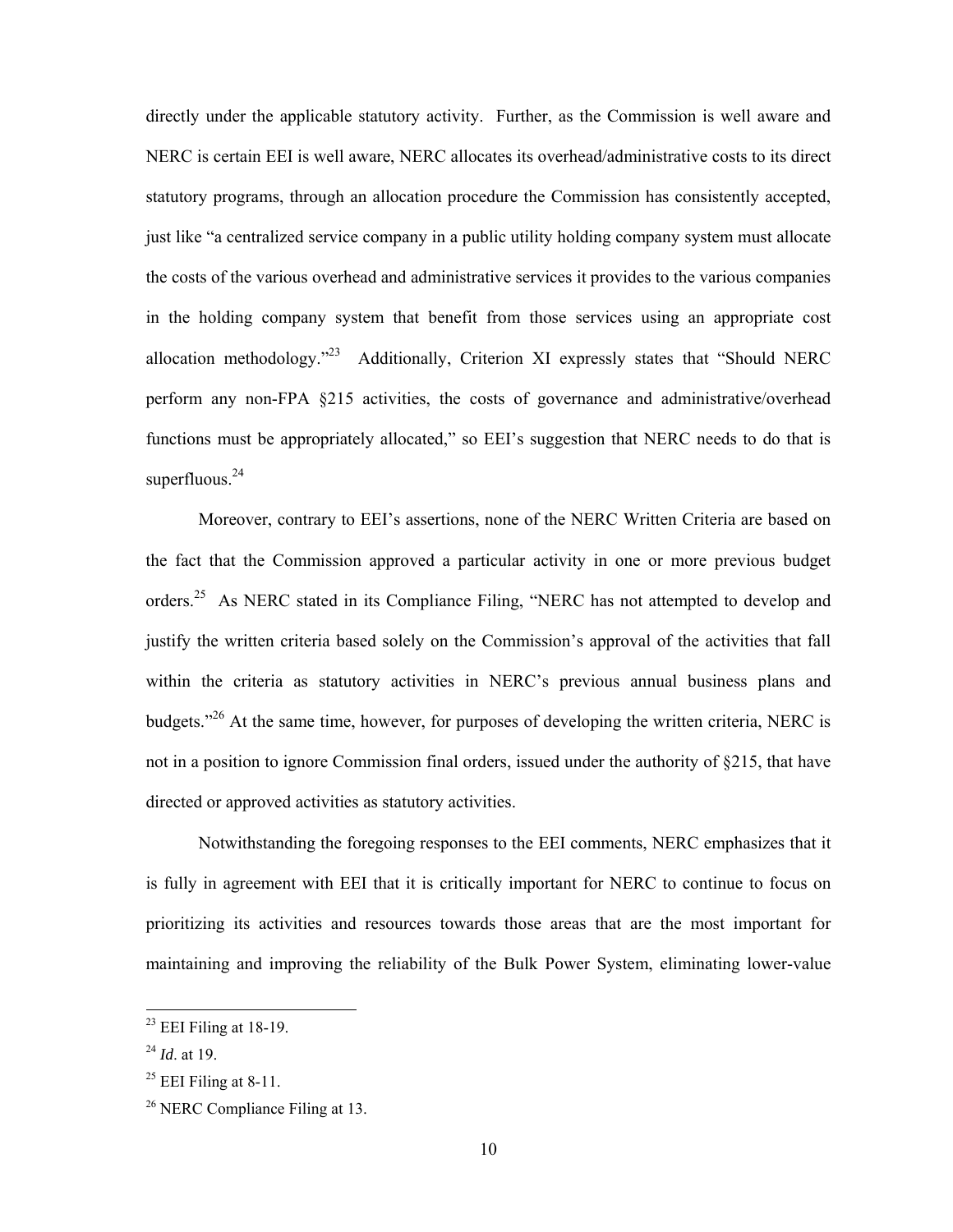directly under the applicable statutory activity. Further, as the Commission is well aware and NERC is certain EEI is well aware, NERC allocates its overhead/administrative costs to its direct statutory programs, through an allocation procedure the Commission has consistently accepted, just like "a centralized service company in a public utility holding company system must allocate the costs of the various overhead and administrative services it provides to the various companies in the holding company system that benefit from those services using an appropriate cost allocation methodology."<sup>23</sup> Additionally, Criterion XI expressly states that "Should NERC perform any non-FPA §215 activities, the costs of governance and administrative/overhead functions must be appropriately allocated," so EEI's suggestion that NERC needs to do that is superfluous.<sup>24</sup>

 Moreover, contrary to EEI's assertions, none of the NERC Written Criteria are based on the fact that the Commission approved a particular activity in one or more previous budget orders.<sup>25</sup> As NERC stated in its Compliance Filing, "NERC has not attempted to develop and justify the written criteria based solely on the Commission's approval of the activities that fall within the criteria as statutory activities in NERC's previous annual business plans and budgets."26 At the same time, however, for purposes of developing the written criteria, NERC is not in a position to ignore Commission final orders, issued under the authority of §215, that have directed or approved activities as statutory activities.

 Notwithstanding the foregoing responses to the EEI comments, NERC emphasizes that it is fully in agreement with EEI that it is critically important for NERC to continue to focus on prioritizing its activities and resources towards those areas that are the most important for maintaining and improving the reliability of the Bulk Power System, eliminating lower-value

 $23$  EEI Filing at 18-19.

<sup>24</sup> *Id*. at 19.

 $^{25}$  EEI Filing at 8-11.

<sup>&</sup>lt;sup>26</sup> NERC Compliance Filing at 13.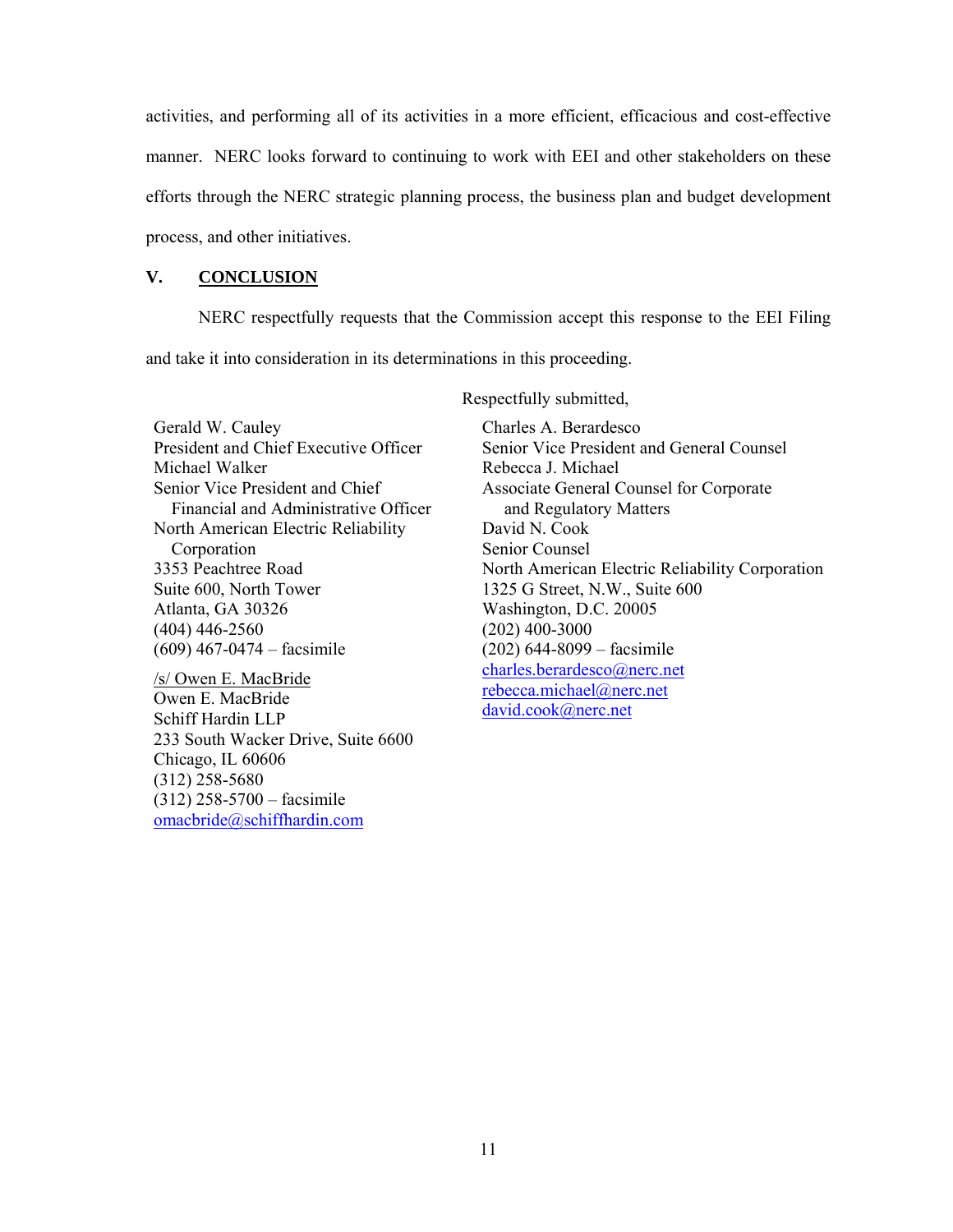activities, and performing all of its activities in a more efficient, efficacious and cost-effective manner. NERC looks forward to continuing to work with EEI and other stakeholders on these efforts through the NERC strategic planning process, the business plan and budget development process, and other initiatives.

## **V. CONCLUSION**

 NERC respectfully requests that the Commission accept this response to the EEI Filing and take it into consideration in its determinations in this proceeding.

Gerald W. Cauley President and Chief Executive Officer Michael Walker Senior Vice President and Chief Financial and Administrative Officer North American Electric Reliability Corporation 3353 Peachtree Road Suite 600, North Tower Atlanta, GA 30326 (404) 446-2560 (609) 467-0474 – facsimile

/s/ Owen E. MacBride Owen E. MacBride Schiff Hardin LLP 233 South Wacker Drive, Suite 6600 Chicago, IL 60606 (312) 258-5680 (312) 258-5700 – facsimile omacbride@schiffhardin.com

Respectfully submitted,

Charles A. Berardesco Senior Vice President and General Counsel Rebecca J. Michael Associate General Counsel for Corporate and Regulatory Matters David N. Cook Senior Counsel North American Electric Reliability Corporation 1325 G Street, N.W., Suite 600 Washington, D.C. 20005 (202) 400-3000 (202) 644-8099 – facsimile charles.berardesco@nerc.net rebecca.michael@nerc.net david.cook@nerc.net